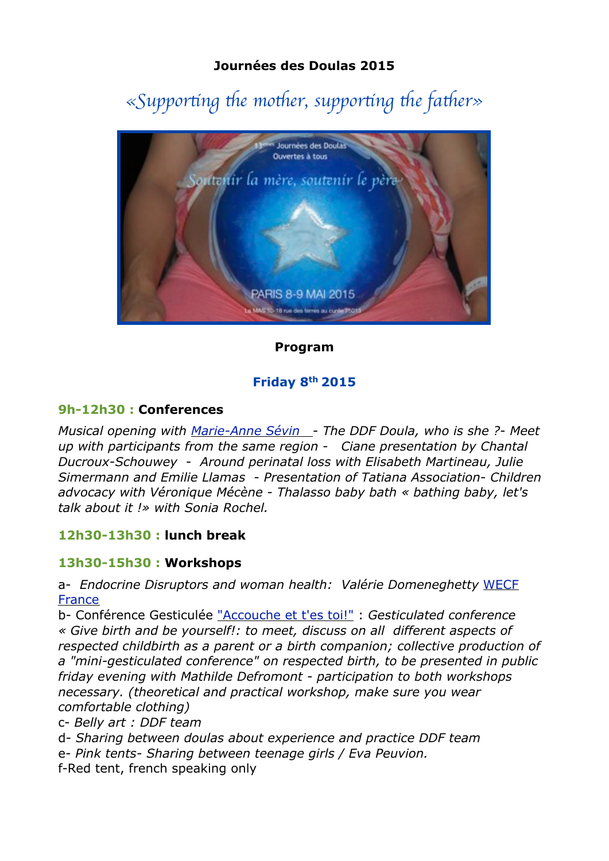## **Journées des Doulas 2015**

# $\ll$ Supporting the mother, supporting the father»



## **Program**

## **Friday 8th 2015**

### **9h-12h30 : Conferences**

*Musical opening with [Marie-Anne Sévin](http://www.chantprenatal.com/)* - *The DDF Doula, who is she ?*- *Meet up with participants from the same region* - *Ciane presentation by Chantal Ducroux-Schouwey* - *Around perinatal loss with Elisabeth Martineau, Julie Simermann and Emilie Llamas* - *Presentation of Tatiana Association*- *Children advocacy with Véronique Mécène* - *Thalasso baby bath « bathing baby, let's talk about it !» with Sonia Rochel.* 

## **12h30-13h30 : lunch break**

## **13h30-15h30 : Workshops**

a- *Endocrine Disruptors and woman health: Valérie Domeneghetty* [WECF](http://www.wecf.eu/francais/)  **[France](http://www.wecf.eu/francais/)** 

b- Conférence Gesticulée ["Accouche et t'es toi!"](https://www.facebook.com/accoucheettestoi?ref=hl) : *Gesticulated conference « Give birth and be yourself!: to meet, discuss on all different aspects of respected childbirth as a parent or a birth companion; collective production of a "mini-gesticulated conference" on respected birth, to be presented in public friday evening with Mathilde Defromont - participation to both workshops necessary. (theoretical and practical workshop, make sure you wear comfortable clothing)* 

c- *Belly art : DDF team*

d- *Sharing between doulas about experience and practice DDF team*

e- *Pink tents- Sharing between teenage girls / Eva Peuvion.*

f-Red tent, french speaking only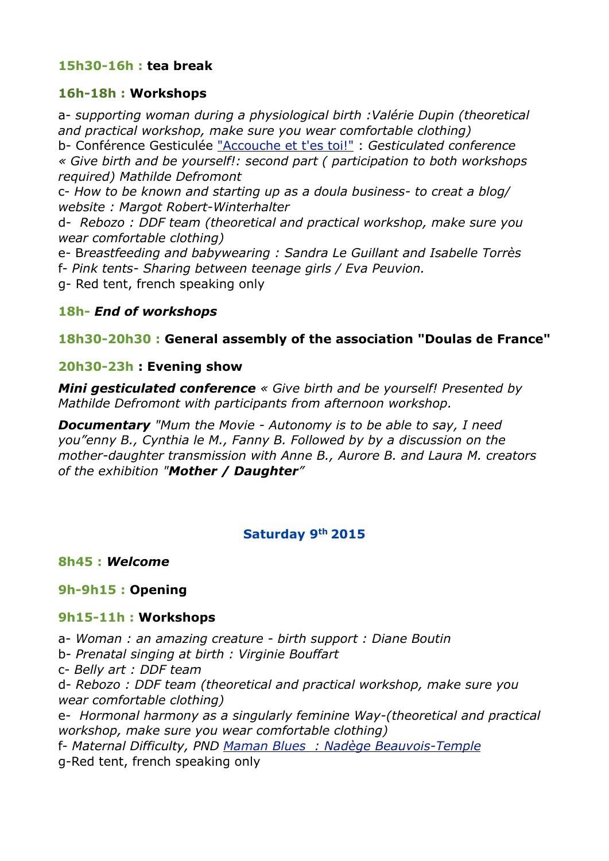## **15h30-16h : tea break**

#### **16h-18h : Workshops**

a- *supporting woman during a physiological birth :Valérie Dupin (theoretical and practical workshop, make sure you wear comfortable clothing)* b- Conférence Gesticulée ["Accouche et t'es toi!"](https://www.facebook.com/accoucheettestoi?ref=hl) : *Gesticulated conference* 

*« Give birth and be yourself!: second part ( participation to both workshops required) Mathilde Defromont*

c- *How to be known and starting up as a doula business- to creat a blog/ website : Margot Robert-Winterhalter*

d- *Rebozo : DDF team (theoretical and practical workshop, make sure you wear comfortable clothing)*

e- B*reastfeeding and babywearing : Sandra Le Guillant and Isabelle Torrès*  f- *Pink tents- Sharing between teenage girls / Eva Peuvion.*

g- Red tent, french speaking only

### **18h-** *End of workshops*

### **18h30-20h30 : General assembly of the association "Doulas de France"**

#### **20h30-23h : Evening show**

*Mini gesticulated conference « Give birth and be yourself! Presented by Mathilde Defromont with participants from afternoon workshop.*

*Documentary "Mum the Movie - Autonomy is to be able to say, I need you"enny B., Cynthia le M., Fanny B. Followed by by a discussion on the mother-daughter transmission with Anne B., Aurore B. and Laura M. creators of the exhibition "Mother / Daughter"*

#### **Saturday 9th 2015**

**8h45 :** *Welcome*

#### **9h-9h15 : Opening**

#### **9h15-11h : Workshops**

a- *Woman : an amazing creature - birth support : Diane Boutin* b- *Prenatal singing at birth : Virginie Bouffart* c- *Belly art : DDF team* d- *Rebozo : DDF team (theoretical and practical workshop, make sure you wear comfortable clothing)* e- *Hormonal harmony as a singularly feminine Way-(theoretical and practical workshop, make sure you wear comfortable clothing)* f- *Maternal Difficulty, PND [Maman Blues](http://www.maman-blues.fr/) : Nadège Beauvois-Temple* g-Red tent, french speaking only